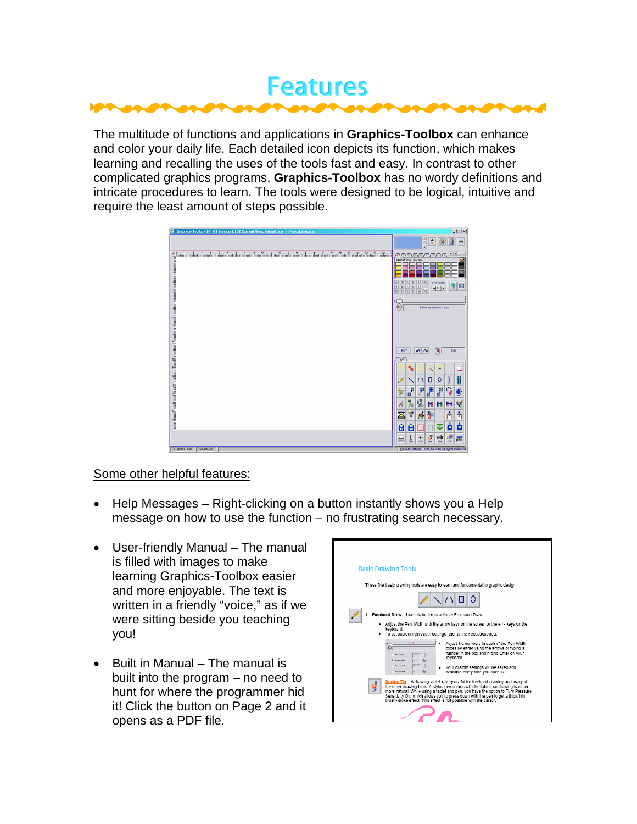

The multitude of functions and applications in **Graphics-Toolbox** can enhance and color your daily life. Each detailed icon depicts its function, which makes learning and recalling the uses of the tools fast and easy. In contrast to other complicated graphics programs, **Graphics-Toolbox** has no wordy definitions and intricate procedures to learn. The tools were designed to be logical, intuitive and require the least amount of steps possible.

| <b>Gr</b> Graphics-Toolbox TM GT Version 1.15 ( Current User: DefaultUser ) - FancyLines.pcx | 回回図                                                                               |
|----------------------------------------------------------------------------------------------|-----------------------------------------------------------------------------------|
|                                                                                              | t<br>÷                                                                            |
|                                                                                              | cic<br>AVEVEVEVEVEN<br>Spring Flower Garden                                       |
|                                                                                              | ×<br>۰<br>包<br>Pen Width<br>図<br>m<br>$\frac{1}{2}$<br>٠<br>$\overline{\odot}$    |
|                                                                                              | €<br>Salest As Current Color                                                      |
|                                                                                              |                                                                                   |
|                                                                                              |                                                                                   |
|                                                                                              | 0 <sup>o</sup><br>Q<br>EXIT<br>Edit                                               |
|                                                                                              | ٠                                                                                 |
|                                                                                              | ä<br>₹<br>$\Box$<br>$\circ$<br>$\cap$<br>P<br>ď<br>p<br>P                         |
|                                                                                              | 缇<br><b>HHH</b><br>₩<br>A                                                         |
|                                                                                              | Ī<br>ò<br>é<br>$\frac{1}{C}$<br>琴<br>Σ<br>$\ddot{\bullet}$                        |
|                                                                                              | ò<br>Ĥ<br>ù<br>o<br>o<br>$\frac{1}{2}$<br>濃<br>ţ,<br>豐<br>$\frac{+}{\alpha}$<br>転 |
| $X:7088 \text{ V} : 5310$<br>127-165-228                                                     | C Great Software Tools, Inc. 2008 All Flights Flesenved                           |

### Some other helpful features:

- Help Messages Right-clicking on a button instantly shows you a Help message on how to use the function – no frustrating search necessary.
- User-friendly Manual The manual is filled with images to make learning Graphics-Toolbox easier and more enjoyable. The text is written in a friendly "voice," as if we were sitting beside you teaching you!
- Built in Manual The manual is built into the program – no need to hunt for where the programmer hid it! Click the button on Page 2 and it opens as a PDF file.